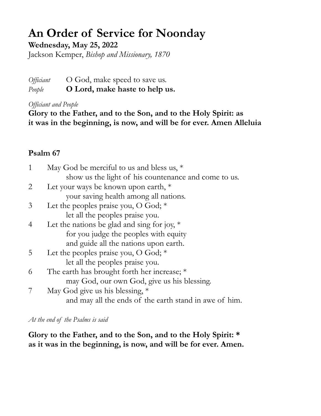## **An Order of Service for Noonday**

**Wednesday, May 25, 2022**

Jackson Kemper, *Bishop and Missionary, 1870*

*Officiant* O God, make speed to save us. *People* **O Lord, make haste to help us.**

*Officiant and People*

**Glory to the Father, and to the Son, and to the Holy Spirit: as it was in the beginning, is now, and will be for ever. Amen Alleluia**

## **Psalm 67**

|   | May God be merciful to us and bless us, $*$            |
|---|--------------------------------------------------------|
|   | show us the light of his countenance and come to us.   |
|   | Let your ways be known upon earth, $*$                 |
|   | your saving health among all nations.                  |
| 3 | Let the peoples praise you, O God; $*$                 |
|   | let all the peoples praise you.                        |
| 4 | Let the nations be glad and sing for joy, $*$          |
|   | for you judge the peoples with equity                  |
|   | and guide all the nations upon earth.                  |
| 5 | Let the peoples praise you, O God; $*$                 |
|   | let all the peoples praise you.                        |
| 6 | The earth has brought forth her increase; $*$          |
|   | may God, our own God, give us his blessing.            |
|   | May God give us his blessing, $*$                      |
|   | and may all the ends of the earth stand in awe of him. |

*At the end of the Psalms is said*

**Glory to the Father, and to the Son, and to the Holy Spirit: \* as it was in the beginning, is now, and will be for ever. Amen.**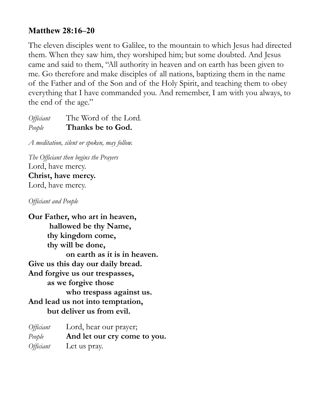## **Matthew 28:16–20**

The eleven disciples went to Galilee, to the mountain to which Jesus had directed them. When they saw him, they worshiped him; but some doubted. And Jesus came and said to them, "All authority in heaven and on earth has been given to me. Go therefore and make disciples of all nations, baptizing them in the name of the Father and of the Son and of the Holy Spirit, and teaching them to obey everything that I have commanded you. And remember, I am with you always, to the end of the age."

*Officiant* The Word of the Lord*. People* **Thanks be to God.**

*A meditation, silent or spoken, may follow.* 

*The Officiant then begins the Prayers*  Lord, have mercy. **Christ, have mercy.**  Lord, have mercy.

*Officiant and People*

**Our Father, who art in heaven, hallowed be thy Name, thy kingdom come, thy will be done, on earth as it is in heaven. Give us this day our daily bread. And forgive us our trespasses, as we forgive those who trespass against us. And lead us not into temptation, but deliver us from evil.** 

| Officiant | Lord, hear our prayer;       |
|-----------|------------------------------|
| People    | And let our cry come to you. |
| Officiant | Let us pray.                 |